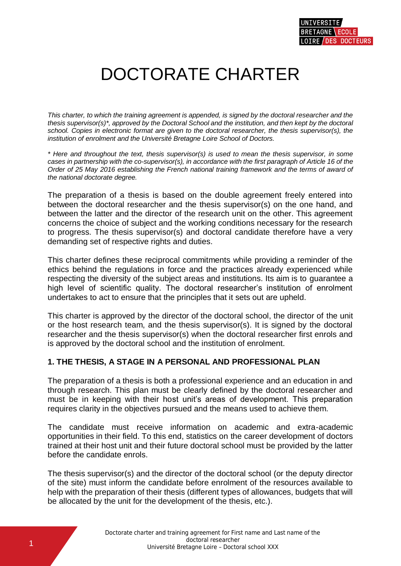# DOCTORATE CHARTER

*This charter, to which the training agreement is appended, is signed by the doctoral researcher and the thesis supervisor(s)\*, approved by the Doctoral School and the institution, and then kept by the doctoral school. Copies in electronic format are given to the doctoral researcher, the thesis supervisor(s), the institution of enrolment and the Université Bretagne Loire School of Doctors.*

*\* Here and throughout the text, thesis supervisor(s) is used to mean the thesis supervisor, in some cases in partnership with the co-supervisor(s), in accordance with the first paragraph of Article 16 of the Order of 25 May 2016 establishing the French national training framework and the terms of award of the national doctorate degree.* 

The preparation of a thesis is based on the double agreement freely entered into between the doctoral researcher and the thesis supervisor(s) on the one hand, and between the latter and the director of the research unit on the other. This agreement concerns the choice of subject and the working conditions necessary for the research to progress. The thesis supervisor(s) and doctoral candidate therefore have a very demanding set of respective rights and duties.

This charter defines these reciprocal commitments while providing a reminder of the ethics behind the regulations in force and the practices already experienced while respecting the diversity of the subject areas and institutions. Its aim is to guarantee a high level of scientific quality. The doctoral researcher's institution of enrolment undertakes to act to ensure that the principles that it sets out are upheld.

This charter is approved by the director of the doctoral school, the director of the unit or the host research team, and the thesis supervisor(s). It is signed by the doctoral researcher and the thesis supervisor(s) when the doctoral researcher first enrols and is approved by the doctoral school and the institution of enrolment.

# **1. THE THESIS, A STAGE IN A PERSONAL AND PROFESSIONAL PLAN**

The preparation of a thesis is both a professional experience and an education in and through research. This plan must be clearly defined by the doctoral researcher and must be in keeping with their host unit's areas of development. This preparation requires clarity in the objectives pursued and the means used to achieve them.

The candidate must receive information on academic and extra-academic opportunities in their field. To this end, statistics on the career development of doctors trained at their host unit and their future doctoral school must be provided by the latter before the candidate enrols.

The thesis supervisor(s) and the director of the doctoral school (or the deputy director of the site) must inform the candidate before enrolment of the resources available to help with the preparation of their thesis (different types of allowances, budgets that will be allocated by the unit for the development of the thesis, etc.).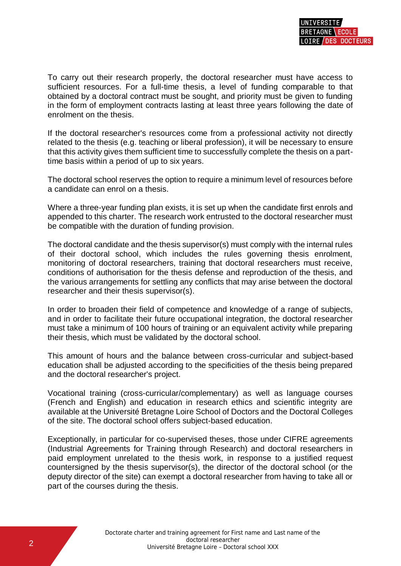To carry out their research properly, the doctoral researcher must have access to sufficient resources. For a full-time thesis, a level of funding comparable to that obtained by a doctoral contract must be sought, and priority must be given to funding in the form of employment contracts lasting at least three years following the date of enrolment on the thesis.

If the doctoral researcher's resources come from a professional activity not directly related to the thesis (e.g. teaching or liberal profession), it will be necessary to ensure that this activity gives them sufficient time to successfully complete the thesis on a parttime basis within a period of up to six years.

The doctoral school reserves the option to require a minimum level of resources before a candidate can enrol on a thesis.

Where a three-year funding plan exists, it is set up when the candidate first enrols and appended to this charter. The research work entrusted to the doctoral researcher must be compatible with the duration of funding provision.

The doctoral candidate and the thesis supervisor(s) must comply with the internal rules of their doctoral school, which includes the rules governing thesis enrolment, monitoring of doctoral researchers, training that doctoral researchers must receive, conditions of authorisation for the thesis defense and reproduction of the thesis, and the various arrangements for settling any conflicts that may arise between the doctoral researcher and their thesis supervisor(s).

In order to broaden their field of competence and knowledge of a range of subjects, and in order to facilitate their future occupational integration, the doctoral researcher must take a minimum of 100 hours of training or an equivalent activity while preparing their thesis, which must be validated by the doctoral school.

This amount of hours and the balance between cross-curricular and subject-based education shall be adjusted according to the specificities of the thesis being prepared and the doctoral researcher's project.

Vocational training (cross-curricular/complementary) as well as language courses (French and English) and education in research ethics and scientific integrity are available at the Université Bretagne Loire School of Doctors and the Doctoral Colleges of the site. The doctoral school offers subject-based education.

Exceptionally, in particular for co-supervised theses, those under CIFRE agreements (Industrial Agreements for Training through Research) and doctoral researchers in paid employment unrelated to the thesis work, in response to a justified request countersigned by the thesis supervisor(s), the director of the doctoral school (or the deputy director of the site) can exempt a doctoral researcher from having to take all or part of the courses during the thesis.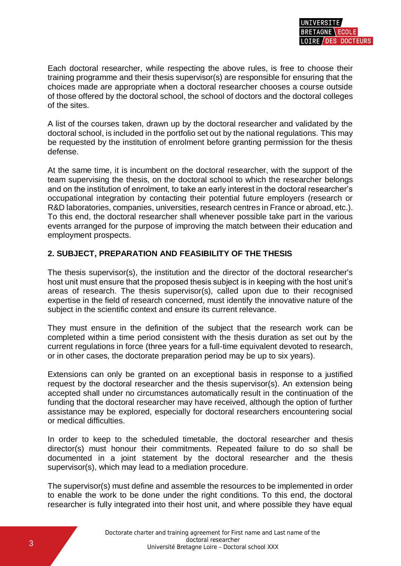Each doctoral researcher, while respecting the above rules, is free to choose their training programme and their thesis supervisor(s) are responsible for ensuring that the choices made are appropriate when a doctoral researcher chooses a course outside of those offered by the doctoral school, the school of doctors and the doctoral colleges of the sites.

A list of the courses taken, drawn up by the doctoral researcher and validated by the doctoral school, is included in the portfolio set out by the national regulations. This may be requested by the institution of enrolment before granting permission for the thesis defense.

At the same time, it is incumbent on the doctoral researcher, with the support of the team supervising the thesis, on the doctoral school to which the researcher belongs and on the institution of enrolment, to take an early interest in the doctoral researcher's occupational integration by contacting their potential future employers (research or R&D laboratories, companies, universities, research centres in France or abroad, etc.). To this end, the doctoral researcher shall whenever possible take part in the various events arranged for the purpose of improving the match between their education and employment prospects.

### **2. SUBJECT, PREPARATION AND FEASIBILITY OF THE THESIS**

The thesis supervisor(s), the institution and the director of the doctoral researcher's host unit must ensure that the proposed thesis subject is in keeping with the host unit's areas of research. The thesis supervisor(s), called upon due to their recognised expertise in the field of research concerned, must identify the innovative nature of the subject in the scientific context and ensure its current relevance.

They must ensure in the definition of the subject that the research work can be completed within a time period consistent with the thesis duration as set out by the current regulations in force (three years for a full-time equivalent devoted to research, or in other cases, the doctorate preparation period may be up to six years).

Extensions can only be granted on an exceptional basis in response to a justified request by the doctoral researcher and the thesis supervisor(s). An extension being accepted shall under no circumstances automatically result in the continuation of the funding that the doctoral researcher may have received, although the option of further assistance may be explored, especially for doctoral researchers encountering social or medical difficulties.

In order to keep to the scheduled timetable, the doctoral researcher and thesis director(s) must honour their commitments. Repeated failure to do so shall be documented in a joint statement by the doctoral researcher and the thesis supervisor(s), which may lead to a mediation procedure.

The supervisor(s) must define and assemble the resources to be implemented in order to enable the work to be done under the right conditions. To this end, the doctoral researcher is fully integrated into their host unit, and where possible they have equal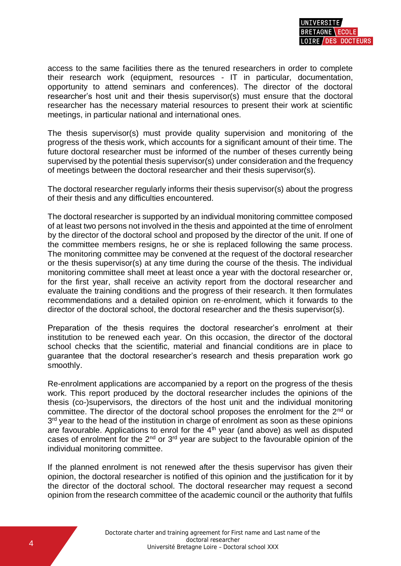access to the same facilities there as the tenured researchers in order to complete their research work (equipment, resources - IT in particular, documentation, opportunity to attend seminars and conferences). The director of the doctoral researcher's host unit and their thesis supervisor(s) must ensure that the doctoral researcher has the necessary material resources to present their work at scientific meetings, in particular national and international ones.

The thesis supervisor(s) must provide quality supervision and monitoring of the progress of the thesis work, which accounts for a significant amount of their time. The future doctoral researcher must be informed of the number of theses currently being supervised by the potential thesis supervisor(s) under consideration and the frequency of meetings between the doctoral researcher and their thesis supervisor(s).

The doctoral researcher regularly informs their thesis supervisor(s) about the progress of their thesis and any difficulties encountered.

The doctoral researcher is supported by an individual monitoring committee composed of at least two persons not involved in the thesis and appointed at the time of enrolment by the director of the doctoral school and proposed by the director of the unit. If one of the committee members resigns, he or she is replaced following the same process. The monitoring committee may be convened at the request of the doctoral researcher or the thesis supervisor(s) at any time during the course of the thesis. The individual monitoring committee shall meet at least once a year with the doctoral researcher or, for the first year, shall receive an activity report from the doctoral researcher and evaluate the training conditions and the progress of their research. It then formulates recommendations and a detailed opinion on re-enrolment, which it forwards to the director of the doctoral school, the doctoral researcher and the thesis supervisor(s).

Preparation of the thesis requires the doctoral researcher's enrolment at their institution to be renewed each year. On this occasion, the director of the doctoral school checks that the scientific, material and financial conditions are in place to guarantee that the doctoral researcher's research and thesis preparation work go smoothly.

Re-enrolment applications are accompanied by a report on the progress of the thesis work. This report produced by the doctoral researcher includes the opinions of the thesis (co-)supervisors, the directors of the host unit and the individual monitoring committee. The director of the doctoral school proposes the enrolment for the 2<sup>nd</sup> or 3<sup>rd</sup> year to the head of the institution in charge of enrolment as soon as these opinions are favourable. Applications to enrol for the  $4<sup>th</sup>$  year (and above) as well as disputed cases of enrolment for the  $2<sup>nd</sup>$  or  $3<sup>rd</sup>$  year are subject to the favourable opinion of the individual monitoring committee.

If the planned enrolment is not renewed after the thesis supervisor has given their opinion, the doctoral researcher is notified of this opinion and the justification for it by the director of the doctoral school. The doctoral researcher may request a second opinion from the research committee of the academic council or the authority that fulfils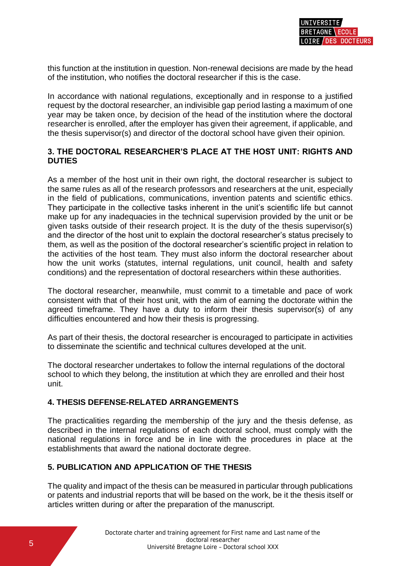this function at the institution in question. Non-renewal decisions are made by the head of the institution, who notifies the doctoral researcher if this is the case.

In accordance with national regulations, exceptionally and in response to a justified request by the doctoral researcher, an indivisible gap period lasting a maximum of one year may be taken once, by decision of the head of the institution where the doctoral researcher is enrolled, after the employer has given their agreement, if applicable, and the thesis supervisor(s) and director of the doctoral school have given their opinion.

## **3. THE DOCTORAL RESEARCHER'S PLACE AT THE HOST UNIT: RIGHTS AND DUTIES**

As a member of the host unit in their own right, the doctoral researcher is subject to the same rules as all of the research professors and researchers at the unit, especially in the field of publications, communications, invention patents and scientific ethics. They participate in the collective tasks inherent in the unit's scientific life but cannot make up for any inadequacies in the technical supervision provided by the unit or be given tasks outside of their research project. It is the duty of the thesis supervisor(s) and the director of the host unit to explain the doctoral researcher's status precisely to them, as well as the position of the doctoral researcher's scientific project in relation to the activities of the host team. They must also inform the doctoral researcher about how the unit works (statutes, internal regulations, unit council, health and safety conditions) and the representation of doctoral researchers within these authorities.

The doctoral researcher, meanwhile, must commit to a timetable and pace of work consistent with that of their host unit, with the aim of earning the doctorate within the agreed timeframe. They have a duty to inform their thesis supervisor(s) of any difficulties encountered and how their thesis is progressing.

As part of their thesis, the doctoral researcher is encouraged to participate in activities to disseminate the scientific and technical cultures developed at the unit.

The doctoral researcher undertakes to follow the internal regulations of the doctoral school to which they belong, the institution at which they are enrolled and their host unit.

#### **4. THESIS DEFENSE-RELATED ARRANGEMENTS**

The practicalities regarding the membership of the jury and the thesis defense, as described in the internal regulations of each doctoral school, must comply with the national regulations in force and be in line with the procedures in place at the establishments that award the national doctorate degree.

# **5. PUBLICATION AND APPLICATION OF THE THESIS**

The quality and impact of the thesis can be measured in particular through publications or patents and industrial reports that will be based on the work, be it the thesis itself or articles written during or after the preparation of the manuscript.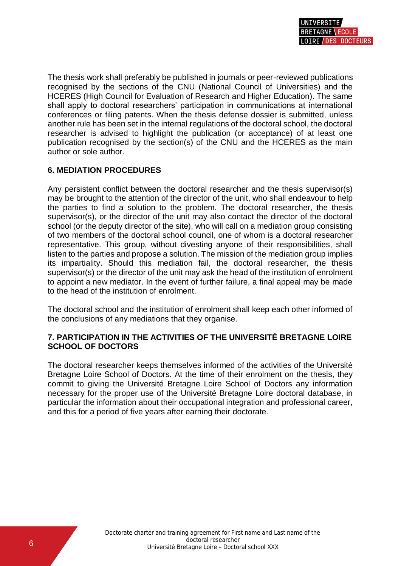The thesis work shall preferably be published in journals or peer-reviewed publications recognised by the sections of the CNU (National Council of Universities) and the HCERES (High Council for Evaluation of Research and Higher Education). The same shall apply to doctoral researchers' participation in communications at international conferences or filing patents. When the thesis defense dossier is submitted, unless another rule has been set in the internal regulations of the doctoral school, the doctoral researcher is advised to highlight the publication (or acceptance) of at least one publication recognised by the section(s) of the CNU and the HCERES as the main author or sole author.

# **6. MEDIATION PROCEDURES**

Any persistent conflict between the doctoral researcher and the thesis supervisor(s) may be brought to the attention of the director of the unit, who shall endeavour to help the parties to find a solution to the problem. The doctoral researcher, the thesis supervisor(s), or the director of the unit may also contact the director of the doctoral school (or the deputy director of the site), who will call on a mediation group consisting of two members of the doctoral school council, one of whom is a doctoral researcher representative. This group, without divesting anyone of their responsibilities, shall listen to the parties and propose a solution. The mission of the mediation group implies its impartiality. Should this mediation fail, the doctoral researcher, the thesis supervisor(s) or the director of the unit may ask the head of the institution of enrolment to appoint a new mediator. In the event of further failure, a final appeal may be made to the head of the institution of enrolment.

The doctoral school and the institution of enrolment shall keep each other informed of the conclusions of any mediations that they organise.

### **7. PARTICIPATION IN THE ACTIVITIES OF THE UNIVERSITÉ BRETAGNE LOIRE SCHOOL OF DOCTORS**

The doctoral researcher keeps themselves informed of the activities of the Université Bretagne Loire School of Doctors. At the time of their enrolment on the thesis, they commit to giving the Université Bretagne Loire School of Doctors any information necessary for the proper use of the Université Bretagne Loire doctoral database, in particular the information about their occupational integration and professional career, and this for a period of five years after earning their doctorate.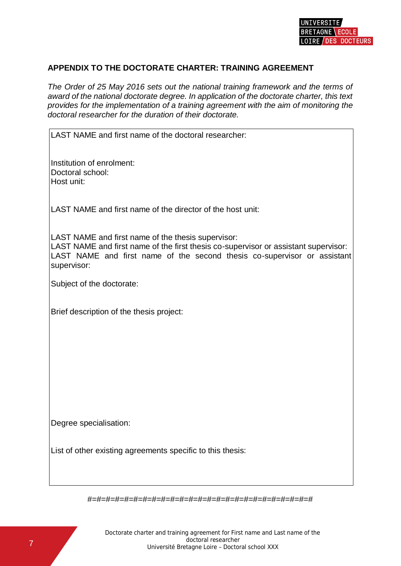

#### **APPENDIX TO THE DOCTORATE CHARTER: TRAINING AGREEMENT**

*The Order of 25 May 2016 sets out the national training framework and the terms of award of the national doctorate degree. In application of the doctorate charter, this text provides for the implementation of a training agreement with the aim of monitoring the doctoral researcher for the duration of their doctorate.*

LAST NAME and first name of the doctoral researcher:

Institution of enrolment: Doctoral school: Host unit:

LAST NAME and first name of the director of the host unit:

LAST NAME and first name of the thesis supervisor:

LAST NAME and first name of the first thesis co-supervisor or assistant supervisor: LAST NAME and first name of the second thesis co-supervisor or assistant supervisor:

Subject of the doctorate:

Brief description of the thesis project:

Degree specialisation:

List of other existing agreements specific to this thesis:

#=#=#=#=#=#=#=#=#=#=#=#=#=#=#=#=#=#=#=#=#=#=#=#=#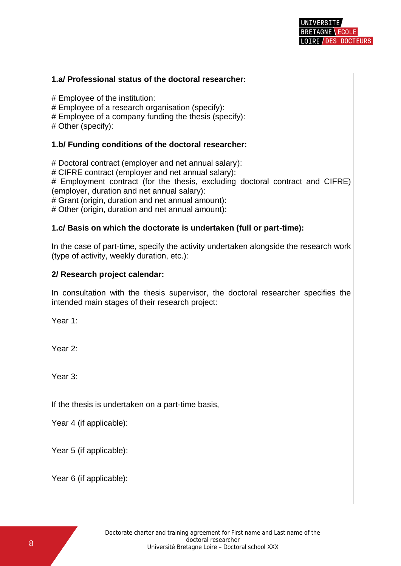#### **1.a/ Professional status of the doctoral researcher:**

# Employee of the institution:

# Employee of a research organisation (specify):

# Employee of a company funding the thesis (specify):

# Other (specify):

### **1.b/ Funding conditions of the doctoral researcher:**

# Doctoral contract (employer and net annual salary):

# CIFRE contract (employer and net annual salary):

# Employment contract (for the thesis, excluding doctoral contract and CIFRE) (employer, duration and net annual salary):

# Grant (origin, duration and net annual amount):

# Other (origin, duration and net annual amount):

#### **1.c/ Basis on which the doctorate is undertaken (full or part-time):**

In the case of part-time, specify the activity undertaken alongside the research work (type of activity, weekly duration, etc.):

#### **2/ Research project calendar:**

In consultation with the thesis supervisor, the doctoral researcher specifies the intended main stages of their research project:

Year 1:

Year 2:

Year 3:

If the thesis is undertaken on a part-time basis,

Year 4 (if applicable):

Year 5 (if applicable):

Year 6 (if applicable):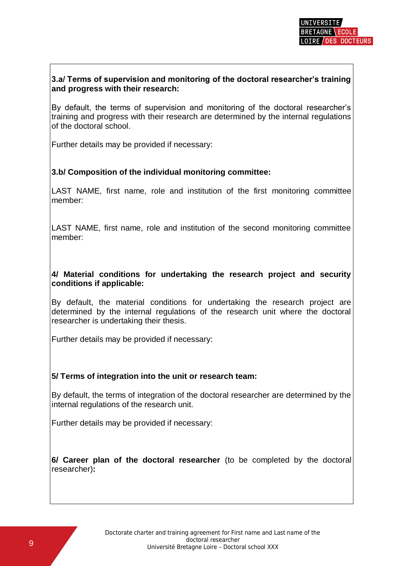# **3.a/ Terms of supervision and monitoring of the doctoral researcher's training and progress with their research:**

By default, the terms of supervision and monitoring of the doctoral researcher's training and progress with their research are determined by the internal regulations of the doctoral school.

Further details may be provided if necessary:

# **3.b/ Composition of the individual monitoring committee:**

LAST NAME, first name, role and institution of the first monitoring committee member:

LAST NAME, first name, role and institution of the second monitoring committee member:

#### **4/ Material conditions for undertaking the research project and security conditions if applicable:**

By default, the material conditions for undertaking the research project are determined by the internal regulations of the research unit where the doctoral researcher is undertaking their thesis.

Further details may be provided if necessary:

# **5/ Terms of integration into the unit or research team:**

By default, the terms of integration of the doctoral researcher are determined by the internal regulations of the research unit.

Further details may be provided if necessary:

**6/ Career plan of the doctoral researcher** (to be completed by the doctoral researcher)**:**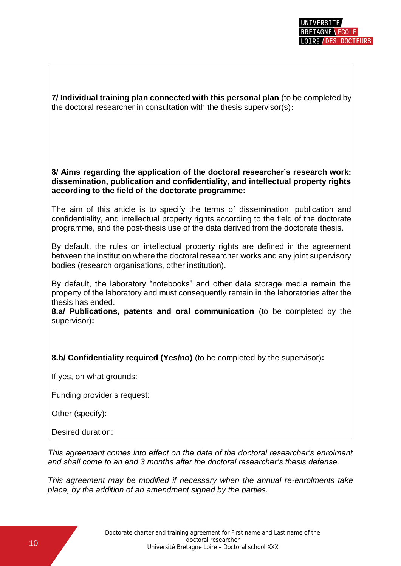**7/ Individual training plan connected with this personal plan** (to be completed by the doctoral researcher in consultation with the thesis supervisor(s)**:**

#### **8/ Aims regarding the application of the doctoral researcher's research work: dissemination, publication and confidentiality, and intellectual property rights according to the field of the doctorate programme:**

The aim of this article is to specify the terms of dissemination, publication and confidentiality, and intellectual property rights according to the field of the doctorate programme, and the post-thesis use of the data derived from the doctorate thesis.

By default, the rules on intellectual property rights are defined in the agreement between the institution where the doctoral researcher works and any joint supervisory bodies (research organisations, other institution).

By default, the laboratory "notebooks" and other data storage media remain the property of the laboratory and must consequently remain in the laboratories after the thesis has ended.

**8.a/ Publications, patents and oral communication** (to be completed by the supervisor)**:**

**8.b/ Confidentiality required (Yes/no)** (to be completed by the supervisor)**:**

If yes, on what grounds:

Funding provider's request:

Other (specify):

Desired duration:

*This agreement comes into effect on the date of the doctoral researcher's enrolment and shall come to an end 3 months after the doctoral researcher's thesis defense.*

*This agreement may be modified if necessary when the annual re-enrolments take place, by the addition of an amendment signed by the parties.*